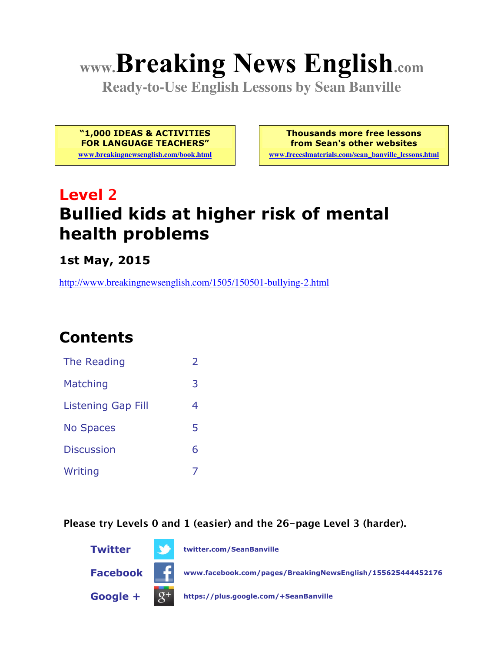# **www.Breaking News English.com**

**Ready-to-Use English Lessons by Sean Banville**

**"1,000 IDEAS & ACTIVITIES FOR LANGUAGE TEACHERS"**

**www.breakingnewsenglish.com/book.html**

**Thousands more free lessons from Sean's other websites**

**www.freeeslmaterials.com/sean\_banville\_lessons.html**

# **Level 2 Bullied kids at higher risk of mental health problems**

**1st May, 2015**

http://www.breakingnewsenglish.com/1505/150501-bullying-2.html

# **Contents**

| The Reading               | $\mathcal{P}$ |
|---------------------------|---------------|
| Matching                  | 3             |
| <b>Listening Gap Fill</b> | 4             |
| <b>No Spaces</b>          | 5             |
| <b>Discussion</b>         | 6             |
| Writing                   |               |

**Please try Levels 0 and 1 (easier) and the 26-page Level 3 (harder).**

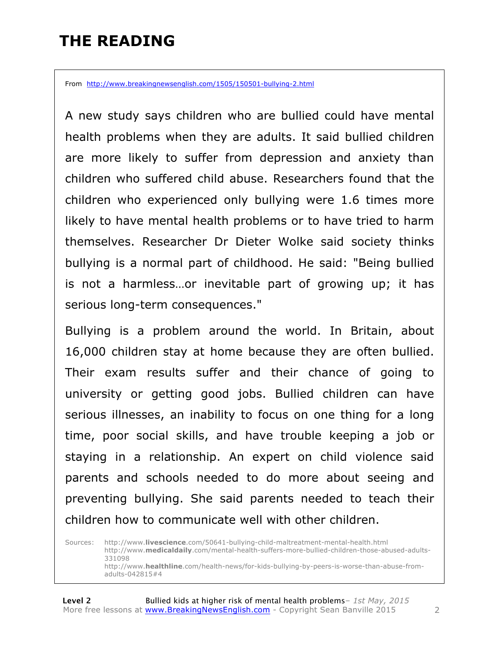### **THE READING**

From http://www.breakingnewsenglish.com/1505/150501-bullying-2.html

A new study says children who are bullied could have mental health problems when they are adults. It said bullied children are more likely to suffer from depression and anxiety than children who suffered child abuse. Researchers found that the children who experienced only bullying were 1.6 times more likely to have mental health problems or to have tried to harm themselves. Researcher Dr Dieter Wolke said society thinks bullying is a normal part of childhood. He said: "Being bullied is not a harmless…or inevitable part of growing up; it has serious long-term consequences."

Bullying is a problem around the world. In Britain, about 16,000 children stay at home because they are often bullied. Their exam results suffer and their chance of going to university or getting good jobs. Bullied children can have serious illnesses, an inability to focus on one thing for a long time, poor social skills, and have trouble keeping a job or staying in a relationship. An expert on child violence said parents and schools needed to do more about seeing and preventing bullying. She said parents needed to teach their children how to communicate well with other children.

Sources: http://www.**livescience**.com/50641-bullying-child-maltreatment-mental-health.html http://www.**medicaldaily**.com/mental-health-suffers-more-bullied-children-those-abused-adults-331098 http://www.**healthline**.com/health-news/for-kids-bullying-by-peers-is-worse-than-abuse-fromadults-042815#4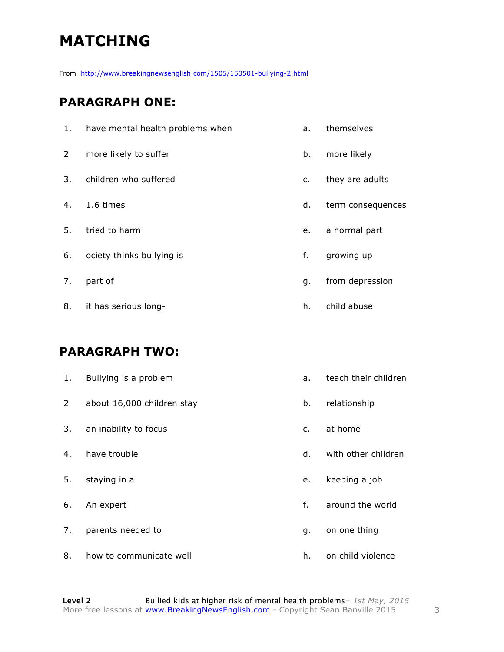# **MATCHING**

From http://www.breakingnewsenglish.com/1505/150501-bullying-2.html

#### **PARAGRAPH ONE:**

| 1.             | have mental health problems when | a.      | themselves        |
|----------------|----------------------------------|---------|-------------------|
| $\overline{2}$ | more likely to suffer            | b.      | more likely       |
| 3.             | children who suffered            | $C_{1}$ | they are adults   |
| 4.             | 1.6 times                        | d.      | term consequences |
| 5.             | tried to harm                    | e.      | a normal part     |
| 6.             | ociety thinks bullying is        | f.      | growing up        |
| 7.             | part of                          | g.      | from depression   |
| 8.             | it has serious long-             | h.      | child abuse       |

#### **PARAGRAPH TWO:**

| 1.             | Bullying is a problem      | a.             | teach their children |
|----------------|----------------------------|----------------|----------------------|
| $\overline{2}$ | about 16,000 children stay | b.             | relationship         |
| 3.             | an inability to focus      | $\mathsf{C}$ . | at home              |
| 4.             | have trouble               | d.             | with other children  |
| 5.             | staying in a               | e.             | keeping a job        |
| 6.             | An expert                  | f.             | around the world     |
| 7.             | parents needed to          | q.             | on one thing         |
| 8.             | how to communicate well    | h.             | on child violence    |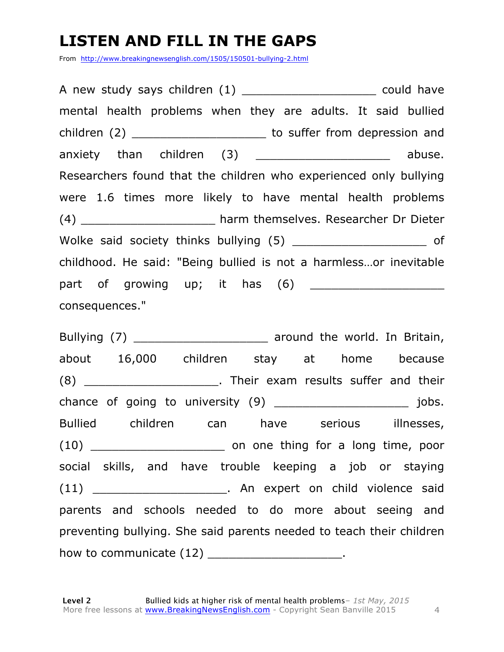# **LISTEN AND FILL IN THE GAPS**

From http://www.breakingnewsenglish.com/1505/150501-bullying-2.html

A new study says children (1) example a could have mental health problems when they are adults. It said bullied children (2) **Exercise 2** to suffer from depression and anxiety than children (3) anxiety abuse. Researchers found that the children who experienced only bullying were 1.6 times more likely to have mental health problems (4) \_\_\_\_\_\_\_\_\_\_\_\_\_\_\_\_\_\_\_ harm themselves. Researcher Dr Dieter Wolke said society thinks bullying (5) and the same of childhood. He said: "Being bullied is not a harmless…or inevitable part of growing up; it has  $(6)$ consequences."

Bullying (7) **Example 20** around the world. In Britain, about 16,000 children stay at home because (8) Their exam results suffer and their chance of going to university (9) and the same state of going to university (9) and the state of going and the state of going  $\sim$  100 s. Bullied children can have serious illnesses, (10) and on one thing for a long time, poor social skills, and have trouble keeping a job or staying (11) The Contract Contract Contract Contract Contract Contract Contract Contract Contract Contract Contract Contract Contract Contract Contract Contract Contract Contract Contract Contract Contract Contract Contract Contra parents and schools needed to do more about seeing and preventing bullying. She said parents needed to teach their children how to communicate (12) \_\_\_\_\_\_\_\_\_\_\_\_\_\_\_\_\_\_\_\_\_\_.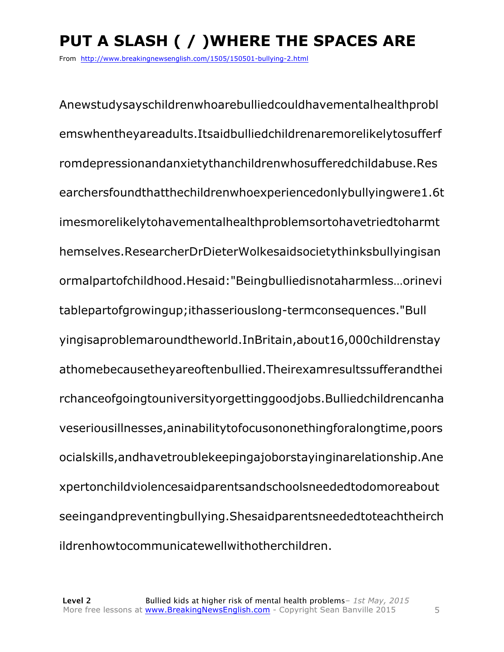# **PUT A SLASH ( / )WHERE THE SPACES ARE**

From http://www.breakingnewsenglish.com/1505/150501-bullying-2.html

Anewstudysayschildrenwhoarebulliedcouldhavementalhealthprobl emswhentheyareadults.Itsaidbulliedchildrenaremorelikelytosufferf romdepressionandanxietythanchildrenwhosufferedchildabuse.Res earchersfoundthatthechildrenwhoexperiencedonlybullyingwere1.6t imesmorelikelytohavementalhealthproblemsortohavetriedtoharmt hemselves.ResearcherDrDieterWolkesaidsocietythinksbullyingisan ormalpartofchildhood.Hesaid:"Beingbulliedisnotaharmless…orinevi tablepartofgrowingup;ithasseriouslong-termconsequences."Bull yingisaproblemaroundtheworld.InBritain,about16,000childrenstay athomebecausetheyareoftenbullied.Theirexamresultssufferandthei rchanceofgoingtouniversityorgettinggoodjobs.Bulliedchildrencanha veseriousillnesses,aninabilitytofocusononethingforalongtime,poors ocialskills,andhavetroublekeepingajoborstayinginarelationship.Ane xpertonchildviolencesaidparentsandschoolsneededtodomoreabout seeingandpreventingbullying.Shesaidparentsneededtoteachtheirch ildrenhowtocommunicatewellwithotherchildren.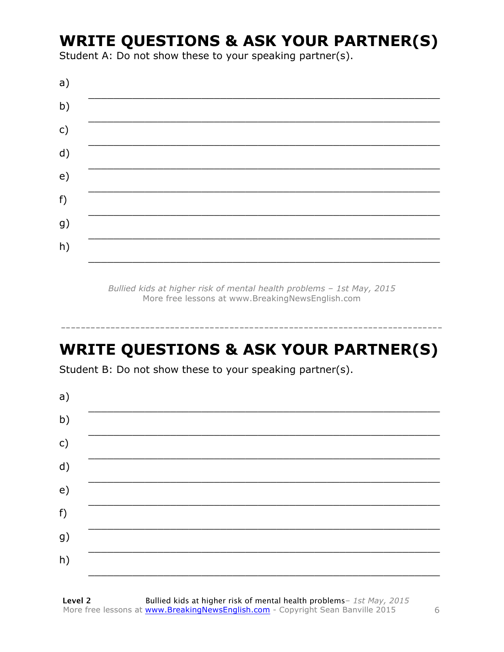### **WRITE QUESTIONS & ASK YOUR PARTNER(S)**

Student A: Do not show these to your speaking partner(s).

| a) |  |  |
|----|--|--|
| b) |  |  |
| c) |  |  |
| d) |  |  |
| e) |  |  |
| f) |  |  |
| g) |  |  |
| h) |  |  |
|    |  |  |

Bullied kids at higher risk of mental health problems - 1st May, 2015 More free lessons at www.BreakingNewsEnglish.com

# **WRITE QUESTIONS & ASK YOUR PARTNER(S)**

Student B: Do not show these to your speaking partner(s).